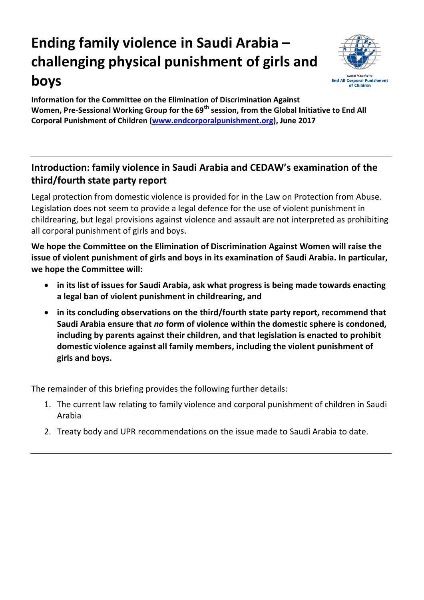# **Ending family violence in Saudi Arabia – challenging physical punishment of girls and boys**



**Information for the Committee on the Elimination of Discrimination Against Women, Pre-Sessional Working Group for the 69th session, from the Global Initiative to End All Corporal Punishment of Children [\(www.endcorporalpunishment.org\)](http://www.endcorporalpunishment.org/), June 2017**

## **Introduction: family violence in Saudi Arabia and CEDAW's examination of the third/fourth state party report**

Legal protection from domestic violence is provided for in the Law on Protection from Abuse. Legislation does not seem to provide a legal defence for the use of violent punishment in childrearing, but legal provisions against violence and assault are not interpreted as prohibiting all corporal punishment of girls and boys.

**We hope the Committee on the Elimination of Discrimination Against Women will raise the issue of violent punishment of girls and boys in its examination of Saudi Arabia. In particular, we hope the Committee will:**

- **in its list of issues for Saudi Arabia, ask what progress is being made towards enacting a legal ban of violent punishment in childrearing, and**
- **in its concluding observations on the third/fourth state party report, recommend that Saudi Arabia ensure that** *no* **form of violence within the domestic sphere is condoned, including by parents against their children, and that legislation is enacted to prohibit domestic violence against all family members, including the violent punishment of girls and boys.**

The remainder of this briefing provides the following further details:

- 1. The current law relating to family violence and corporal punishment of children in Saudi Arabia
- 2. Treaty body and UPR recommendations on the issue made to Saudi Arabia to date.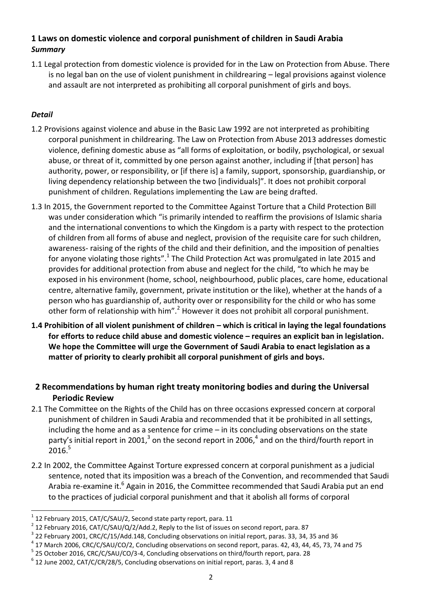### **1 Laws on domestic violence and corporal punishment of children in Saudi Arabia** *Summary*

1.1 Legal protection from domestic violence is provided for in the Law on Protection from Abuse. There is no legal ban on the use of violent punishment in childrearing – legal provisions against violence and assault are not interpreted as prohibiting all corporal punishment of girls and boys.

#### *Detail*

 $\overline{a}$ 

- 1.2 Provisions against violence and abuse in the Basic Law 1992 are not interpreted as prohibiting corporal punishment in childrearing. The Law on Protection from Abuse 2013 addresses domestic violence, defining domestic abuse as "all forms of exploitation, or bodily, psychological, or sexual abuse, or threat of it, committed by one person against another, including if [that person] has authority, power, or responsibility, or [if there is] a family, support, sponsorship, guardianship, or living dependency relationship between the two [individuals]". It does not prohibit corporal punishment of children. Regulations implementing the Law are being drafted.
- 1.3 In 2015, the Government reported to the Committee Against Torture that a Child Protection Bill was under consideration which "is primarily intended to reaffirm the provisions of Islamic sharia and the international conventions to which the Kingdom is a party with respect to the protection of children from all forms of abuse and neglect, provision of the requisite care for such children, awareness- raising of the rights of the child and their definition, and the imposition of penalties for anyone violating those rights".<sup>1</sup> The Child Protection Act was promulgated in late 2015 and provides for additional protection from abuse and neglect for the child, "to which he may be exposed in his environment (home, school, neighbourhood, public places, care home, educational centre, alternative family, government, private institution or the like), whether at the hands of a person who has guardianship of, authority over or responsibility for the child or who has some other form of relationship with him".<sup>2</sup> However it does not prohibit all corporal punishment.
- **1.4 Prohibition of all violent punishment of children – which is critical in laying the legal foundations for efforts to reduce child abuse and domestic violence – requires an explicit ban in legislation. We hope the Committee will urge the Government of Saudi Arabia to enact legislation as a matter of priority to clearly prohibit all corporal punishment of girls and boys.**

### **2 Recommendations by human right treaty monitoring bodies and during the Universal Periodic Review**

- 2.1 The Committee on the Rights of the Child has on three occasions expressed concern at corporal punishment of children in Saudi Arabia and recommended that it be prohibited in all settings, including the home and as a sentence for crime – in its concluding observations on the state party's initial report in 2001,<sup>3</sup> on the second report in 2006,<sup>4</sup> and on the third/fourth report in  $2016.<sup>5</sup>$
- 2.2 In 2002, the Committee Against Torture expressed concern at corporal punishment as a judicial sentence, noted that its imposition was a breach of the Convention, and recommended that Saudi Arabia re-examine it.<sup>6</sup> Again in 2016, the Committee recommended that Saudi Arabia put an end to the practices of judicial corporal punishment and that it abolish all forms of corporal

<sup>1</sup> 12 February 2015, CAT/C/SAU/2, Second state party report, para. 11

 $^{2}$  12 February 2016, CAT/C/SAU/Q/2/Add.2, Reply to the list of issues on second report, para. 87

 $^3$  22 February 2001, CRC/C/15/Add.148, Concluding observations on initial report, paras. 33, 34, 35 and 36

<sup>&</sup>lt;sup>4</sup> 17 March 2006, CRC/C/SAU/CO/2, Concluding observations on second report, paras. 42, 43, 44, 45, 73, 74 and 75

<sup>&</sup>lt;sup>5</sup> 25 October 2016, CRC/C/SAU/CO/3-4, Concluding observations on third/fourth report, para. 28

 $^6$  12 June 2002, CAT/C/CR/28/5, Concluding observations on initial report, paras. 3, 4 and 8